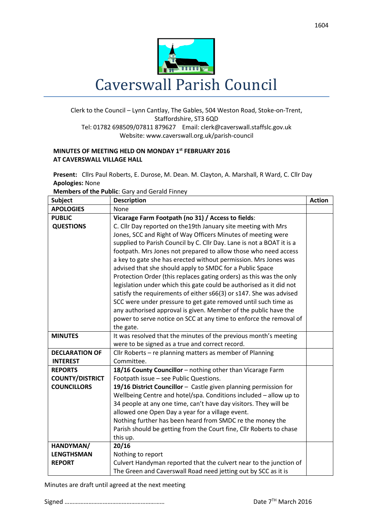

## Clerk to the Council – Lynn Cantlay, The Gables, 504 Weston Road, Stoke-on-Trent, Staffordshire, ST3 6QD Tel: 01782 698509/07811 879627 Email[: clerk@caverswall.staffslc.gov.uk](mailto:clerk@caverswall.staffslc.gov.uk) Website: www.caverswall.org.uk/parish-council

## **MINUTES OF MEETING HELD ON MONDAY 1 st FEBRUARY 2016 AT CAVERSWALL VILLAGE HALL**

**Present:** Cllrs Paul Roberts, E. Durose, M. Dean. M. Clayton, A. Marshall, R Ward, C. Cllr Day **Apologies:** None

**Members of the Public**: Gary and Gerald Finney

| <b>Subject</b>         | <b>Description</b>                                                    | <b>Action</b> |
|------------------------|-----------------------------------------------------------------------|---------------|
| <b>APOLOGIES</b>       | None                                                                  |               |
| <b>PUBLIC</b>          | Vicarage Farm Footpath (no 31) / Access to fields:                    |               |
| <b>QUESTIONS</b>       | C. Cllr Day reported on the 19th January site meeting with Mrs        |               |
|                        | Jones, SCC and Right of Way Officers Minutes of meeting were          |               |
|                        | supplied to Parish Council by C. Cllr Day. Lane is not a BOAT it is a |               |
|                        | footpath. Mrs Jones not prepared to allow those who need access       |               |
|                        | a key to gate she has erected without permission. Mrs Jones was       |               |
|                        | advised that she should apply to SMDC for a Public Space              |               |
|                        | Protection Order (this replaces gating orders) as this was the only   |               |
|                        | legislation under which this gate could be authorised as it did not   |               |
|                        | satisfy the requirements of either s66(3) or s147. She was advised    |               |
|                        | SCC were under pressure to get gate removed until such time as        |               |
|                        | any authorised approval is given. Member of the public have the       |               |
|                        | power to serve notice on SCC at any time to enforce the removal of    |               |
|                        | the gate.                                                             |               |
| <b>MINUTES</b>         | It was resolved that the minutes of the previous month's meeting      |               |
|                        | were to be signed as a true and correct record.                       |               |
| <b>DECLARATION OF</b>  | Cllr Roberts – re planning matters as member of Planning              |               |
| <b>INTEREST</b>        | Committee.                                                            |               |
| <b>REPORTS</b>         | 18/16 County Councillor - nothing other than Vicarage Farm            |               |
| <b>COUNTY/DISTRICT</b> | Footpath issue - see Public Questions.                                |               |
| <b>COUNCILLORS</b>     | 19/16 District Councillor - Castle given planning permission for      |               |
|                        | Wellbeing Centre and hotel/spa. Conditions included - allow up to     |               |
|                        | 34 people at any one time, can't have day visitors. They will be      |               |
|                        | allowed one Open Day a year for a village event.                      |               |
|                        | Nothing further has been heard from SMDC re the money the             |               |
|                        | Parish should be getting from the Court fine, Cllr Roberts to chase   |               |
|                        | this up.                                                              |               |
| HANDYMAN/              | 20/16                                                                 |               |
| <b>LENGTHSMAN</b>      | Nothing to report                                                     |               |
| <b>REPORT</b>          | Culvert Handyman reported that the culvert near to the junction of    |               |
|                        | The Green and Caverswall Road need jetting out by SCC as it is        |               |

Minutes are draft until agreed at the next meeting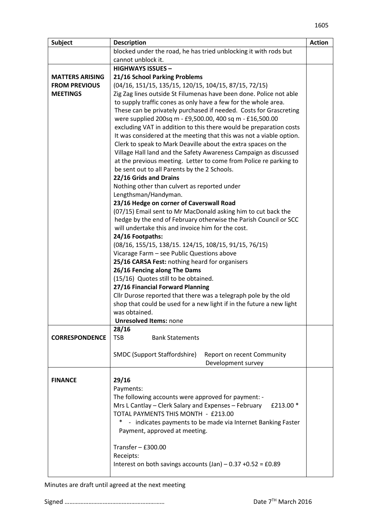| <b>Subject</b>         | <b>Description</b>                                                                                                    | <b>Action</b> |
|------------------------|-----------------------------------------------------------------------------------------------------------------------|---------------|
|                        | blocked under the road, he has tried unblocking it with rods but                                                      |               |
|                        | cannot unblock it.                                                                                                    |               |
|                        | <b>HIGHWAYS ISSUES -</b>                                                                                              |               |
| <b>MATTERS ARISING</b> | 21/16 School Parking Problems                                                                                         |               |
| <b>FROM PREVIOUS</b>   | (04/16, 151/15, 135/15, 120/15, 104/15, 87/15, 72/15)                                                                 |               |
| <b>MEETINGS</b>        | Zig Zag lines outside St Filumenas have been done. Police not able                                                    |               |
|                        | to supply traffic cones as only have a few for the whole area.                                                        |               |
|                        | These can be privately purchased if needed. Costs for Grascreting                                                     |               |
|                        | were supplied 200sq m - £9,500.00, 400 sq m - £16,500.00                                                              |               |
|                        | excluding VAT in addition to this there would be preparation costs                                                    |               |
|                        | It was considered at the meeting that this was not a viable option.                                                   |               |
|                        | Clerk to speak to Mark Deaville about the extra spaces on the                                                         |               |
|                        | Village Hall land and the Safety Awareness Campaign as discussed                                                      |               |
|                        | at the previous meeting. Letter to come from Police re parking to                                                     |               |
|                        | be sent out to all Parents by the 2 Schools.                                                                          |               |
|                        | 22/16 Grids and Drains                                                                                                |               |
|                        | Nothing other than culvert as reported under                                                                          |               |
|                        | Lengthsman/Handyman.                                                                                                  |               |
|                        | 23/16 Hedge on corner of Caverswall Road                                                                              |               |
|                        | (07/15) Email sent to Mr MacDonald asking him to cut back the                                                         |               |
|                        | hedge by the end of February otherwise the Parish Council or SCC<br>will undertake this and invoice him for the cost. |               |
|                        | 24/16 Footpaths:                                                                                                      |               |
|                        | (08/16, 155/15, 138/15. 124/15, 108/15, 91/15, 76/15)                                                                 |               |
|                        | Vicarage Farm - see Public Questions above                                                                            |               |
|                        | 25/16 CARSA Fest: nothing heard for organisers                                                                        |               |
|                        | 26/16 Fencing along The Dams                                                                                          |               |
|                        | (15/16) Quotes still to be obtained.                                                                                  |               |
|                        | 27/16 Financial Forward Planning                                                                                      |               |
|                        | Cllr Durose reported that there was a telegraph pole by the old                                                       |               |
|                        | shop that could be used for a new light if in the future a new light                                                  |               |
|                        | was obtained.                                                                                                         |               |
|                        | <b>Unresolved Items: none</b>                                                                                         |               |
|                        | 28/16                                                                                                                 |               |
| <b>CORRESPONDENCE</b>  | <b>TSB</b><br><b>Bank Statements</b>                                                                                  |               |
|                        |                                                                                                                       |               |
|                        | <b>SMDC (Support Staffordshire)</b><br>Report on recent Community                                                     |               |
|                        | Development survey                                                                                                    |               |
|                        |                                                                                                                       |               |
| <b>FINANCE</b>         | 29/16                                                                                                                 |               |
|                        | Payments:                                                                                                             |               |
|                        | The following accounts were approved for payment: -                                                                   |               |
|                        | Mrs L Cantlay – Clerk Salary and Expenses – February<br>£213.00 *                                                     |               |
|                        | TOTAL PAYMENTS THIS MONTH - £213.00                                                                                   |               |
|                        | - indicates payments to be made via Internet Banking Faster                                                           |               |
|                        | Payment, approved at meeting.                                                                                         |               |
|                        | Transfer $-$ £300.00                                                                                                  |               |
|                        | Receipts:                                                                                                             |               |
|                        | Interest on both savings accounts $(Jan) - 0.37 + 0.52 = £0.89$                                                       |               |
|                        |                                                                                                                       |               |

Minutes are draft until agreed at the next meeting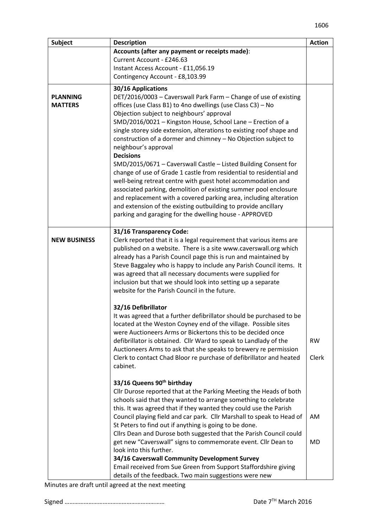| <b>Subject</b>      | <b>Description</b>                                                                                                                     | <b>Action</b> |
|---------------------|----------------------------------------------------------------------------------------------------------------------------------------|---------------|
|                     | Accounts (after any payment or receipts made):                                                                                         |               |
|                     | Current Account - £246.63                                                                                                              |               |
|                     | Instant Access Account - £11,056.19                                                                                                    |               |
|                     | Contingency Account - £8,103.99                                                                                                        |               |
| <b>PLANNING</b>     | 30/16 Applications<br>DET/2016/0003 - Caverswall Park Farm - Change of use of existing                                                 |               |
| <b>MATTERS</b>      | offices (use Class B1) to 4no dwellings (use Class C3) - No                                                                            |               |
|                     | Objection subject to neighbours' approval                                                                                              |               |
|                     | SMD/2016/0021 - Kingston House, School Lane - Erection of a                                                                            |               |
|                     | single storey side extension, alterations to existing roof shape and                                                                   |               |
|                     | construction of a dormer and chimney - No Objection subject to                                                                         |               |
|                     | neighbour's approval                                                                                                                   |               |
|                     | <b>Decisions</b>                                                                                                                       |               |
|                     | SMD/2015/0671 - Caverswall Castle - Listed Building Consent for                                                                        |               |
|                     | change of use of Grade 1 castle from residential to residential and                                                                    |               |
|                     | well-being retreat centre with guest hotel accommodation and<br>associated parking, demolition of existing summer pool enclosure       |               |
|                     | and replacement with a covered parking area, including alteration                                                                      |               |
|                     | and extension of the existing outbuilding to provide ancillary                                                                         |               |
|                     | parking and garaging for the dwelling house - APPROVED                                                                                 |               |
|                     |                                                                                                                                        |               |
|                     | 31/16 Transparency Code:                                                                                                               |               |
| <b>NEW BUSINESS</b> | Clerk reported that it is a legal requirement that various items are                                                                   |               |
|                     | published on a website. There is a site www.caverswall.org which                                                                       |               |
|                     | already has a Parish Council page this is run and maintained by<br>Steve Baggaley who is happy to include any Parish Council items. It |               |
|                     | was agreed that all necessary documents were supplied for                                                                              |               |
|                     | inclusion but that we should look into setting up a separate                                                                           |               |
|                     | website for the Parish Council in the future.                                                                                          |               |
|                     |                                                                                                                                        |               |
|                     | 32/16 Defibrillator                                                                                                                    |               |
|                     | It was agreed that a further defibrillator should be purchased to be                                                                   |               |
|                     | located at the Weston Coyney end of the village. Possible sites                                                                        |               |
|                     | were Auctioneers Arms or Bickertons this to be decided once<br>defibrillator is obtained. Cllr Ward to speak to Landlady of the        | <b>RW</b>     |
|                     | Auctioneers Arms to ask that she speaks to brewery re permission                                                                       |               |
|                     | Clerk to contact Chad Bloor re purchase of defibrillator and heated                                                                    | Clerk         |
|                     | cabinet.                                                                                                                               |               |
|                     |                                                                                                                                        |               |
|                     | 33/16 Queens 90 <sup>th</sup> birthday                                                                                                 |               |
|                     | Cllr Durose reported that at the Parking Meeting the Heads of both<br>schools said that they wanted to arrange something to celebrate  |               |
|                     | this. It was agreed that if they wanted they could use the Parish                                                                      |               |
|                     | Council playing field and car park. Cllr Marshall to speak to Head of                                                                  | AM            |
|                     | St Peters to find out if anything is going to be done.                                                                                 |               |
|                     | Cllrs Dean and Durose both suggested that the Parish Council could                                                                     |               |
|                     | get new "Caverswall" signs to commemorate event. Cllr Dean to                                                                          | <b>MD</b>     |
|                     | look into this further.                                                                                                                |               |
|                     | 34/16 Caverswall Community Development Survey                                                                                          |               |
|                     | Email received from Sue Green from Support Staffordshire giving<br>details of the feedback. Two main suggestions were new              |               |

Minutes are draft until agreed at the next meeting